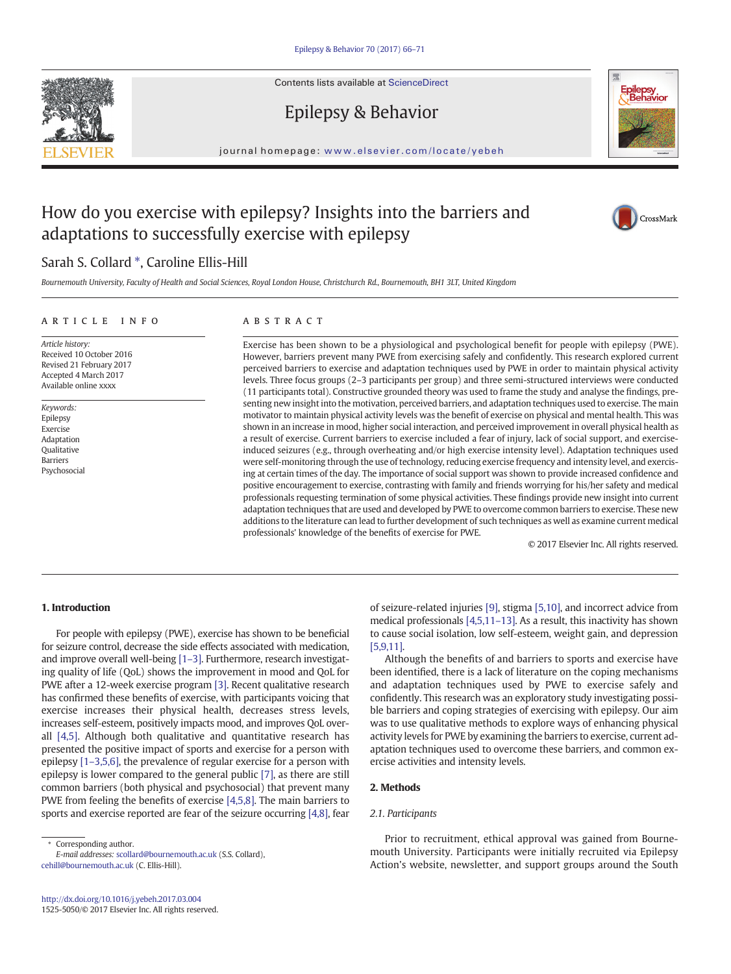Contents lists available at ScienceDirect



Epilepsy & Behavior



journal homepage: <www.elsevier.com/locate/yebeh>

# How do you exercise with epilepsy? Insights into the barriers and adaptations to successfully exercise with epilepsy



## Sarah S. Collard ⁎, Caroline Ellis-Hill

Bournemouth University, Faculty of Health and Social Sciences, Royal London House, Christchurch Rd., Bournemouth, BH1 3LT, United Kingdom

#### article info abstract

Article history: Received 10 October 2016 Revised 21 February 2017 Accepted 4 March 2017 Available online xxxx

Keywords: Epilepsy Exercise Adaptation Qualitative Barriers Psychosocial

Exercise has been shown to be a physiological and psychological benefit for people with epilepsy (PWE). However, barriers prevent many PWE from exercising safely and confidently. This research explored current perceived barriers to exercise and adaptation techniques used by PWE in order to maintain physical activity levels. Three focus groups (2–3 participants per group) and three semi-structured interviews were conducted (11 participants total). Constructive grounded theory was used to frame the study and analyse the findings, presenting new insight into the motivation, perceived barriers, and adaptation techniques used to exercise. The main motivator to maintain physical activity levels was the benefit of exercise on physical and mental health. This was shown in an increase in mood, higher social interaction, and perceived improvement in overall physical health as a result of exercise. Current barriers to exercise included a fear of injury, lack of social support, and exerciseinduced seizures (e.g., through overheating and/or high exercise intensity level). Adaptation techniques used were self-monitoring through the use of technology, reducing exercise frequency and intensity level, and exercising at certain times of the day. The importance of social support was shown to provide increased confidence and positive encouragement to exercise, contrasting with family and friends worrying for his/her safety and medical professionals requesting termination of some physical activities. These findings provide new insight into current adaptation techniques that are used and developed by PWE to overcome common barriers to exercise. These new additions to the literature can lead to further development of such techniques as well as examine current medical professionals' knowledge of the benefits of exercise for PWE.

© 2017 Elsevier Inc. All rights reserved.

#### 1. Introduction

For people with epilepsy (PWE), exercise has shown to be beneficial for seizure control, decrease the side effects associated with medication, and improve overall well-being [1–[3\]](#page-5-0). Furthermore, research investigating quality of life (QoL) shows the improvement in mood and QoL for PWE after a 12-week exercise program [\[3\].](#page-5-0) Recent qualitative research has confirmed these benefits of exercise, with participants voicing that exercise increases their physical health, decreases stress levels, increases self-esteem, positively impacts mood, and improves QoL overall [\[4,5\]](#page-5-0). Although both qualitative and quantitative research has presented the positive impact of sports and exercise for a person with epilepsy [1–[3,5,6\],](#page-5-0) the prevalence of regular exercise for a person with epilepsy is lower compared to the general public [\[7\],](#page-5-0) as there are still common barriers (both physical and psychosocial) that prevent many PWE from feeling the benefits of exercise [\[4,5,8\]](#page-5-0). The main barriers to sports and exercise reported are fear of the seizure occurring [\[4,8\]](#page-5-0), fear

E-mail addresses: scollard@bournemouth.ac.uk (S.S. Collard),

[cehill@bournemouth.ac.uk](mailto:cehill@bournemouth.ac.uk) (C. Ellis-Hill).

of seizure-related injuries [\[9\],](#page-5-0) stigma [\[5,10\],](#page-5-0) and incorrect advice from medical professionals [\[4,5,11](#page-5-0)–13]. As a result, this inactivity has shown to cause social isolation, low self-esteem, weight gain, and depression [\[5,9,11\]](#page-5-0).

Although the benefits of and barriers to sports and exercise have been identified, there is a lack of literature on the coping mechanisms and adaptation techniques used by PWE to exercise safely and confidently. This research was an exploratory study investigating possible barriers and coping strategies of exercising with epilepsy. Our aim was to use qualitative methods to explore ways of enhancing physical activity levels for PWE by examining the barriers to exercise, current adaptation techniques used to overcome these barriers, and common exercise activities and intensity levels.

### 2. Methods

#### 2.1. Participants

Prior to recruitment, ethical approval was gained from Bournemouth University. Participants were initially recruited via Epilepsy Action's website, newsletter, and support groups around the South

<sup>⁎</sup> Corresponding author.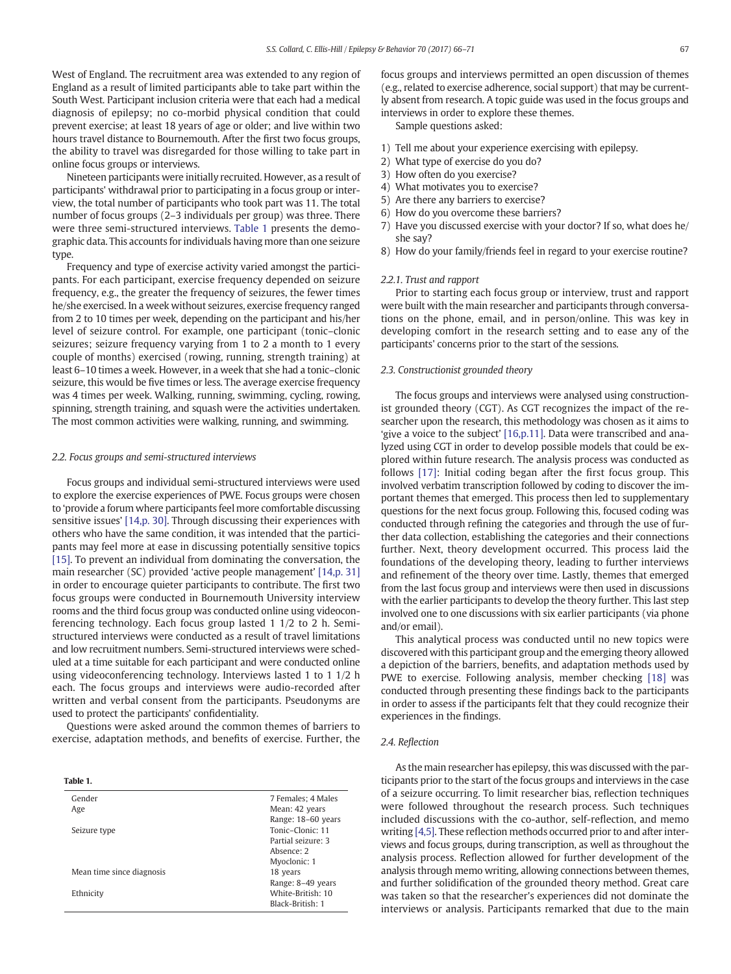<span id="page-1-0"></span>West of England. The recruitment area was extended to any region of England as a result of limited participants able to take part within the South West. Participant inclusion criteria were that each had a medical diagnosis of epilepsy; no co-morbid physical condition that could prevent exercise; at least 18 years of age or older; and live within two hours travel distance to Bournemouth. After the first two focus groups, the ability to travel was disregarded for those willing to take part in online focus groups or interviews.

Nineteen participants were initially recruited. However, as a result of participants' withdrawal prior to participating in a focus group or interview, the total number of participants who took part was 11. The total number of focus groups (2–3 individuals per group) was three. There were three semi-structured interviews. Table 1 presents the demographic data. This accounts for individuals having more than one seizure type.

Frequency and type of exercise activity varied amongst the participants. For each participant, exercise frequency depended on seizure frequency, e.g., the greater the frequency of seizures, the fewer times he/she exercised. In a week without seizures, exercise frequency ranged from 2 to 10 times per week, depending on the participant and his/her level of seizure control. For example, one participant (tonic–clonic seizures; seizure frequency varying from 1 to 2 a month to 1 every couple of months) exercised (rowing, running, strength training) at least 6–10 times a week. However, in a week that she had a tonic–clonic seizure, this would be five times or less. The average exercise frequency was 4 times per week. Walking, running, swimming, cycling, rowing, spinning, strength training, and squash were the activities undertaken. The most common activities were walking, running, and swimming.

#### 2.2. Focus groups and semi-structured interviews

Focus groups and individual semi-structured interviews were used to explore the exercise experiences of PWE. Focus groups were chosen to 'provide a forum where participants feel more comfortable discussing sensitive issues' [\[14,p. 30\]](#page-5-0). Through discussing their experiences with others who have the same condition, it was intended that the participants may feel more at ease in discussing potentially sensitive topics [\[15\]](#page-5-0). To prevent an individual from dominating the conversation, the main researcher (SC) provided 'active people management' [\[14,p. 31\]](#page-5-0) in order to encourage quieter participants to contribute. The first two focus groups were conducted in Bournemouth University interview rooms and the third focus group was conducted online using videoconferencing technology. Each focus group lasted 1 1/2 to 2 h. Semistructured interviews were conducted as a result of travel limitations and low recruitment numbers. Semi-structured interviews were scheduled at a time suitable for each participant and were conducted online using videoconferencing technology. Interviews lasted 1 to 1 1/2 h each. The focus groups and interviews were audio-recorded after written and verbal consent from the participants. Pseudonyms are used to protect the participants' confidentiality.

Questions were asked around the common themes of barriers to exercise, adaptation methods, and benefits of exercise. Further, the

| Table 1.                  |                    |
|---------------------------|--------------------|
| Gender                    | 7 Females; 4 Males |
| Age                       | Mean: 42 years     |
|                           | Range: 18-60 years |
| Seizure type              | Tonic-Clonic: 11   |
|                           | Partial seizure: 3 |
|                           | Absence: 2         |
|                           | Myoclonic: 1       |
| Mean time since diagnosis | 18 years           |
|                           | Range: 8-49 years  |
| Ethnicity                 | White-British: 10  |
|                           | Black-British: 1   |

 $T = 1.7$ 

focus groups and interviews permitted an open discussion of themes (e.g., related to exercise adherence, social support) that may be currently absent from research. A topic guide was used in the focus groups and interviews in order to explore these themes.

Sample questions asked:

- 1) Tell me about your experience exercising with epilepsy.
- 2) What type of exercise do you do?
- 3) How often do you exercise?
- 4) What motivates you to exercise?
- 5) Are there any barriers to exercise?
- 6) How do you overcome these barriers?
- 7) Have you discussed exercise with your doctor? If so, what does he/ she say?
- 8) How do your family/friends feel in regard to your exercise routine?

#### 2.2.1. Trust and rapport

Prior to starting each focus group or interview, trust and rapport were built with the main researcher and participants through conversations on the phone, email, and in person/online. This was key in developing comfort in the research setting and to ease any of the participants' concerns prior to the start of the sessions.

#### 2.3. Constructionist grounded theory

The focus groups and interviews were analysed using constructionist grounded theory (CGT). As CGT recognizes the impact of the researcher upon the research, this methodology was chosen as it aims to 'give a voice to the subject' [\[16,p.11\].](#page-5-0) Data were transcribed and analyzed using CGT in order to develop possible models that could be explored within future research. The analysis process was conducted as follows [\[17\]:](#page-5-0) Initial coding began after the first focus group. This involved verbatim transcription followed by coding to discover the important themes that emerged. This process then led to supplementary questions for the next focus group. Following this, focused coding was conducted through refining the categories and through the use of further data collection, establishing the categories and their connections further. Next, theory development occurred. This process laid the foundations of the developing theory, leading to further interviews and refinement of the theory over time. Lastly, themes that emerged from the last focus group and interviews were then used in discussions with the earlier participants to develop the theory further. This last step involved one to one discussions with six earlier participants (via phone and/or email).

This analytical process was conducted until no new topics were discovered with this participant group and the emerging theory allowed a depiction of the barriers, benefits, and adaptation methods used by PWE to exercise. Following analysis, member checking [\[18\]](#page-5-0) was conducted through presenting these findings back to the participants in order to assess if the participants felt that they could recognize their experiences in the findings.

#### 2.4. Reflection

As the main researcher has epilepsy, this was discussed with the participants prior to the start of the focus groups and interviews in the case of a seizure occurring. To limit researcher bias, reflection techniques were followed throughout the research process. Such techniques included discussions with the co-author, self-reflection, and memo writing [\[4,5\]](#page-5-0). These reflection methods occurred prior to and after interviews and focus groups, during transcription, as well as throughout the analysis process. Reflection allowed for further development of the analysis through memo writing, allowing connections between themes, and further solidification of the grounded theory method. Great care was taken so that the researcher's experiences did not dominate the interviews or analysis. Participants remarked that due to the main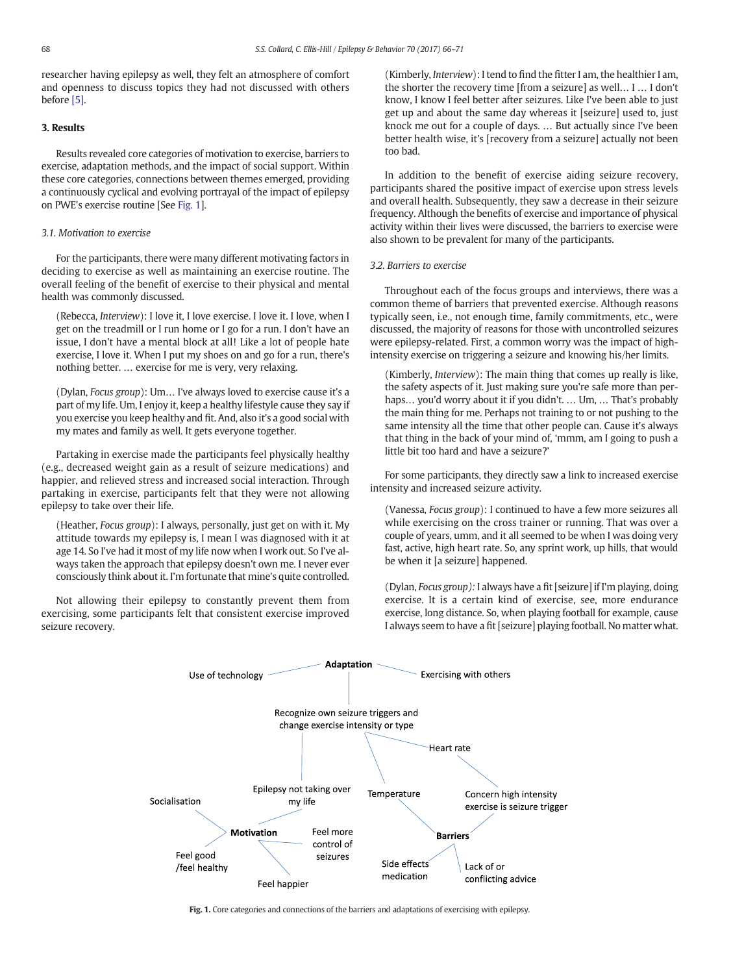researcher having epilepsy as well, they felt an atmosphere of comfort and openness to discuss topics they had not discussed with others before [\[5\]](#page-5-0).

#### 3. Results

Results revealed core categories of motivation to exercise, barriers to exercise, adaptation methods, and the impact of social support. Within these core categories, connections between themes emerged, providing a continuously cyclical and evolving portrayal of the impact of epilepsy on PWE's exercise routine [See Fig. 1].

#### 3.1. Motivation to exercise

For the participants, there were many different motivating factors in deciding to exercise as well as maintaining an exercise routine. The overall feeling of the benefit of exercise to their physical and mental health was commonly discussed.

(Rebecca, Interview): I love it, I love exercise. I love it. I love, when I get on the treadmill or I run home or I go for a run. I don't have an issue, I don't have a mental block at all! Like a lot of people hate exercise, I love it. When I put my shoes on and go for a run, there's nothing better. … exercise for me is very, very relaxing.

(Dylan, Focus group): Um… I've always loved to exercise cause it's a part of my life. Um, I enjoy it, keep a healthy lifestyle cause they say if you exercise you keep healthy and fit. And, also it's a good social with my mates and family as well. It gets everyone together.

Partaking in exercise made the participants feel physically healthy (e.g., decreased weight gain as a result of seizure medications) and happier, and relieved stress and increased social interaction. Through partaking in exercise, participants felt that they were not allowing epilepsy to take over their life.

(Heather, Focus group): I always, personally, just get on with it. My attitude towards my epilepsy is, I mean I was diagnosed with it at age 14. So I've had it most of my life now when I work out. So I've always taken the approach that epilepsy doesn't own me. I never ever consciously think about it. I'm fortunate that mine's quite controlled.

Not allowing their epilepsy to constantly prevent them from exercising, some participants felt that consistent exercise improved seizure recovery.

(Kimberly, Interview): I tend to find the fitter I am, the healthier I am, the shorter the recovery time [from a seizure] as well… I … I don't know, I know I feel better after seizures. Like I've been able to just get up and about the same day whereas it [seizure] used to, just knock me out for a couple of days. … But actually since I've been better health wise, it's [recovery from a seizure] actually not been too bad.

In addition to the benefit of exercise aiding seizure recovery, participants shared the positive impact of exercise upon stress levels and overall health. Subsequently, they saw a decrease in their seizure frequency. Although the benefits of exercise and importance of physical activity within their lives were discussed, the barriers to exercise were also shown to be prevalent for many of the participants.

#### 3.2. Barriers to exercise

Throughout each of the focus groups and interviews, there was a common theme of barriers that prevented exercise. Although reasons typically seen, i.e., not enough time, family commitments, etc., were discussed, the majority of reasons for those with uncontrolled seizures were epilepsy-related. First, a common worry was the impact of highintensity exercise on triggering a seizure and knowing his/her limits.

(Kimberly, Interview): The main thing that comes up really is like, the safety aspects of it. Just making sure you're safe more than perhaps… you'd worry about it if you didn't. … Um, … That's probably the main thing for me. Perhaps not training to or not pushing to the same intensity all the time that other people can. Cause it's always that thing in the back of your mind of, 'mmm, am I going to push a little bit too hard and have a seizure?'

For some participants, they directly saw a link to increased exercise intensity and increased seizure activity.

(Vanessa, Focus group): I continued to have a few more seizures all while exercising on the cross trainer or running. That was over a couple of years, umm, and it all seemed to be when I was doing very fast, active, high heart rate. So, any sprint work, up hills, that would be when it [a seizure] happened.

(Dylan, Focus group): I always have a fit [seizure] if I'm playing, doing exercise. It is a certain kind of exercise, see, more endurance exercise, long distance. So, when playing football for example, cause I always seem to have a fit [seizure] playing football. No matter what.



Fig. 1. Core categories and connections of the barriers and adaptations of exercising with epilepsy.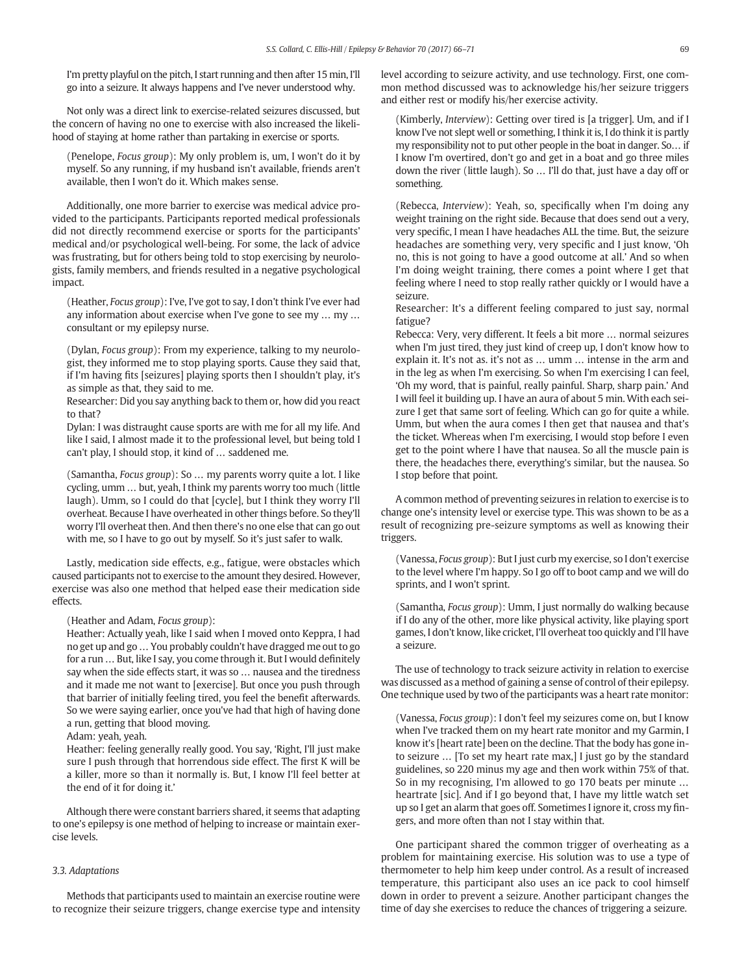I'm pretty playful on the pitch, I start running and then after 15 min, I'll go into a seizure. It always happens and I've never understood why.

Not only was a direct link to exercise-related seizures discussed, but the concern of having no one to exercise with also increased the likelihood of staying at home rather than partaking in exercise or sports.

(Penelope, Focus group): My only problem is, um, I won't do it by myself. So any running, if my husband isn't available, friends aren't available, then I won't do it. Which makes sense.

Additionally, one more barrier to exercise was medical advice provided to the participants. Participants reported medical professionals did not directly recommend exercise or sports for the participants' medical and/or psychological well-being. For some, the lack of advice was frustrating, but for others being told to stop exercising by neurologists, family members, and friends resulted in a negative psychological impact.

(Heather, Focus group): I've, I've got to say, I don't think I've ever had any information about exercise when I've gone to see my … my … consultant or my epilepsy nurse.

(Dylan, Focus group): From my experience, talking to my neurologist, they informed me to stop playing sports. Cause they said that, if I'm having fits [seizures] playing sports then I shouldn't play, it's as simple as that, they said to me.

Researcher: Did you say anything back to them or, how did you react to that?

Dylan: I was distraught cause sports are with me for all my life. And like I said, I almost made it to the professional level, but being told I can't play, I should stop, it kind of … saddened me.

(Samantha, Focus group): So … my parents worry quite a lot. I like cycling, umm … but, yeah, I think my parents worry too much (little laugh). Umm, so I could do that [cycle], but I think they worry I'll overheat. Because I have overheated in other things before. So they'll worry I'll overheat then. And then there's no one else that can go out with me, so I have to go out by myself. So it's just safer to walk.

Lastly, medication side effects, e.g., fatigue, were obstacles which caused participants not to exercise to the amount they desired. However, exercise was also one method that helped ease their medication side effects.

(Heather and Adam, Focus group):

Heather: Actually yeah, like I said when I moved onto Keppra, I had no get up and go … You probably couldn't have dragged me out to go for a run … But, like I say, you come through it. But I would definitely say when the side effects start, it was so … nausea and the tiredness and it made me not want to [exercise]. But once you push through that barrier of initially feeling tired, you feel the benefit afterwards. So we were saying earlier, once you've had that high of having done a run, getting that blood moving.

Adam: yeah, yeah.

Heather: feeling generally really good. You say, 'Right, I'll just make sure I push through that horrendous side effect. The first K will be a killer, more so than it normally is. But, I know I'll feel better at the end of it for doing it.'

Although there were constant barriers shared, it seems that adapting to one's epilepsy is one method of helping to increase or maintain exercise levels.

#### 3.3. Adaptations

Methods that participants used to maintain an exercise routine were to recognize their seizure triggers, change exercise type and intensity level according to seizure activity, and use technology. First, one common method discussed was to acknowledge his/her seizure triggers and either rest or modify his/her exercise activity.

(Kimberly, Interview): Getting over tired is [a trigger]. Um, and if I know I've not slept well or something, I think it is, I do think it is partly my responsibility not to put other people in the boat in danger. So… if I know I'm overtired, don't go and get in a boat and go three miles down the river (little laugh). So … I'll do that, just have a day off or something.

(Rebecca, Interview): Yeah, so, specifically when I'm doing any weight training on the right side. Because that does send out a very, very specific, I mean I have headaches ALL the time. But, the seizure headaches are something very, very specific and I just know, 'Oh no, this is not going to have a good outcome at all.' And so when I'm doing weight training, there comes a point where I get that feeling where I need to stop really rather quickly or I would have a seizure.

Researcher: It's a different feeling compared to just say, normal fatigue?

Rebecca: Very, very different. It feels a bit more … normal seizures when I'm just tired, they just kind of creep up, I don't know how to explain it. It's not as. it's not as … umm … intense in the arm and in the leg as when I'm exercising. So when I'm exercising I can feel, 'Oh my word, that is painful, really painful. Sharp, sharp pain.' And I will feel it building up. I have an aura of about 5 min. With each seizure I get that same sort of feeling. Which can go for quite a while. Umm, but when the aura comes I then get that nausea and that's the ticket. Whereas when I'm exercising, I would stop before I even get to the point where I have that nausea. So all the muscle pain is there, the headaches there, everything's similar, but the nausea. So I stop before that point.

A common method of preventing seizures in relation to exercise is to change one's intensity level or exercise type. This was shown to be as a result of recognizing pre-seizure symptoms as well as knowing their triggers.

(Vanessa, Focus group): But I just curb my exercise, so I don't exercise to the level where I'm happy. So I go off to boot camp and we will do sprints, and I won't sprint.

(Samantha, Focus group): Umm, I just normally do walking because if I do any of the other, more like physical activity, like playing sport games, I don't know, like cricket, I'll overheat too quickly and I'll have a seizure.

The use of technology to track seizure activity in relation to exercise was discussed as a method of gaining a sense of control of their epilepsy. One technique used by two of the participants was a heart rate monitor:

(Vanessa, Focus group): I don't feel my seizures come on, but I know when I've tracked them on my heart rate monitor and my Garmin, I know it's [heart rate] been on the decline. That the body has gone into seizure … [To set my heart rate max,] I just go by the standard guidelines, so 220 minus my age and then work within 75% of that. So in my recognising, I'm allowed to go 170 beats per minute … heartrate [sic]. And if I go beyond that, I have my little watch set up so I get an alarm that goes off. Sometimes I ignore it, cross my fingers, and more often than not I stay within that.

One participant shared the common trigger of overheating as a problem for maintaining exercise. His solution was to use a type of thermometer to help him keep under control. As a result of increased temperature, this participant also uses an ice pack to cool himself down in order to prevent a seizure. Another participant changes the time of day she exercises to reduce the chances of triggering a seizure.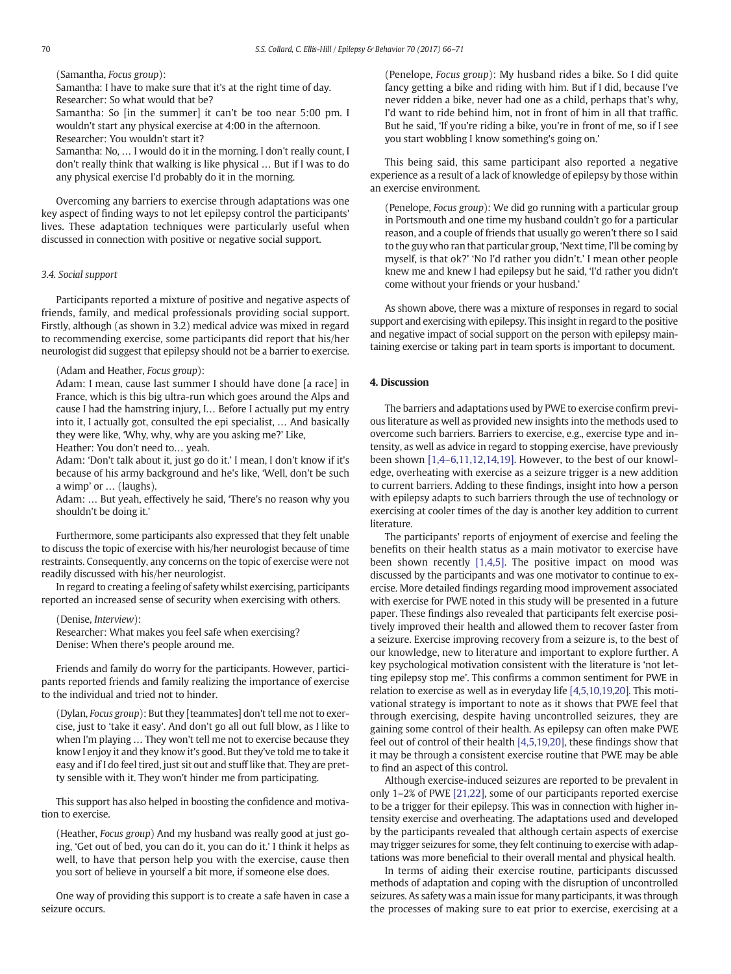(Samantha, Focus group):

Samantha: I have to make sure that it's at the right time of day. Researcher: So what would that be?

Samantha: So [in the summer] it can't be too near 5:00 pm. I wouldn't start any physical exercise at 4:00 in the afternoon. Researcher: You wouldn't start it?

Samantha: No, … I would do it in the morning. I don't really count, I don't really think that walking is like physical … But if I was to do any physical exercise I'd probably do it in the morning.

Overcoming any barriers to exercise through adaptations was one key aspect of finding ways to not let epilepsy control the participants' lives. These adaptation techniques were particularly useful when discussed in connection with positive or negative social support.

#### 3.4. Social support

Participants reported a mixture of positive and negative aspects of friends, family, and medical professionals providing social support. Firstly, although (as shown in 3.2) medical advice was mixed in regard to recommending exercise, some participants did report that his/her neurologist did suggest that epilepsy should not be a barrier to exercise.

#### (Adam and Heather, Focus group):

Adam: I mean, cause last summer I should have done [a race] in France, which is this big ultra-run which goes around the Alps and cause I had the hamstring injury, I… Before I actually put my entry into it, I actually got, consulted the epi specialist, … And basically they were like, 'Why, why, why are you asking me?' Like,

Heather: You don't need to… yeah.

Adam: 'Don't talk about it, just go do it.' I mean, I don't know if it's because of his army background and he's like, 'Well, don't be such a wimp' or … (laughs).

Adam: … But yeah, effectively he said, 'There's no reason why you shouldn't be doing it.'

Furthermore, some participants also expressed that they felt unable to discuss the topic of exercise with his/her neurologist because of time restraints. Consequently, any concerns on the topic of exercise were not readily discussed with his/her neurologist.

In regard to creating a feeling of safety whilst exercising, participants reported an increased sense of security when exercising with others.

(Denise, Interview): Researcher: What makes you feel safe when exercising? Denise: When there's people around me.

Friends and family do worry for the participants. However, participants reported friends and family realizing the importance of exercise to the individual and tried not to hinder.

(Dylan, Focus group): But they [teammates] don't tell me not to exercise, just to 'take it easy'. And don't go all out full blow, as I like to when I'm playing … They won't tell me not to exercise because they know I enjoy it and they know it's good. But they've told me to take it easy and if I do feel tired, just sit out and stuff like that. They are pretty sensible with it. They won't hinder me from participating.

This support has also helped in boosting the confidence and motivation to exercise.

(Heather, Focus group) And my husband was really good at just going, 'Get out of bed, you can do it, you can do it.' I think it helps as well, to have that person help you with the exercise, cause then you sort of believe in yourself a bit more, if someone else does.

One way of providing this support is to create a safe haven in case a seizure occurs.

(Penelope, Focus group): My husband rides a bike. So I did quite fancy getting a bike and riding with him. But if I did, because I've never ridden a bike, never had one as a child, perhaps that's why, I'd want to ride behind him, not in front of him in all that traffic. But he said, 'If you're riding a bike, you're in front of me, so if I see you start wobbling I know something's going on.'

This being said, this same participant also reported a negative experience as a result of a lack of knowledge of epilepsy by those within an exercise environment.

(Penelope, Focus group): We did go running with a particular group in Portsmouth and one time my husband couldn't go for a particular reason, and a couple of friends that usually go weren't there so I said to the guy who ran that particular group, 'Next time, I'll be coming by myself, is that ok?' 'No I'd rather you didn't.' I mean other people knew me and knew I had epilepsy but he said, 'I'd rather you didn't come without your friends or your husband.'

As shown above, there was a mixture of responses in regard to social support and exercising with epilepsy. This insight in regard to the positive and negative impact of social support on the person with epilepsy maintaining exercise or taking part in team sports is important to document.

#### 4. Discussion

The barriers and adaptations used by PWE to exercise confirm previous literature as well as provided new insights into the methods used to overcome such barriers. Barriers to exercise, e.g., exercise type and intensity, as well as advice in regard to stopping exercise, have previously been shown [1,4–[6,11,12,14,19\]](#page-5-0). However, to the best of our knowledge, overheating with exercise as a seizure trigger is a new addition to current barriers. Adding to these findings, insight into how a person with epilepsy adapts to such barriers through the use of technology or exercising at cooler times of the day is another key addition to current literature.

The participants' reports of enjoyment of exercise and feeling the benefits on their health status as a main motivator to exercise have been shown recently [\[1,4,5\]](#page-5-0). The positive impact on mood was discussed by the participants and was one motivator to continue to exercise. More detailed findings regarding mood improvement associated with exercise for PWE noted in this study will be presented in a future paper. These findings also revealed that participants felt exercise positively improved their health and allowed them to recover faster from a seizure. Exercise improving recovery from a seizure is, to the best of our knowledge, new to literature and important to explore further. A key psychological motivation consistent with the literature is 'not letting epilepsy stop me'. This confirms a common sentiment for PWE in relation to exercise as well as in everyday life [\[4,5,10,19,20\]](#page-5-0). This motivational strategy is important to note as it shows that PWE feel that through exercising, despite having uncontrolled seizures, they are gaining some control of their health. As epilepsy can often make PWE feel out of control of their health [\[4,5,19,20\],](#page-5-0) these findings show that it may be through a consistent exercise routine that PWE may be able to find an aspect of this control.

Although exercise-induced seizures are reported to be prevalent in only 1–2% of PWE [\[21,22\],](#page-5-0) some of our participants reported exercise to be a trigger for their epilepsy. This was in connection with higher intensity exercise and overheating. The adaptations used and developed by the participants revealed that although certain aspects of exercise may trigger seizures for some, they felt continuing to exercise with adaptations was more beneficial to their overall mental and physical health.

In terms of aiding their exercise routine, participants discussed methods of adaptation and coping with the disruption of uncontrolled seizures. As safety was a main issue for many participants, it was through the processes of making sure to eat prior to exercise, exercising at a